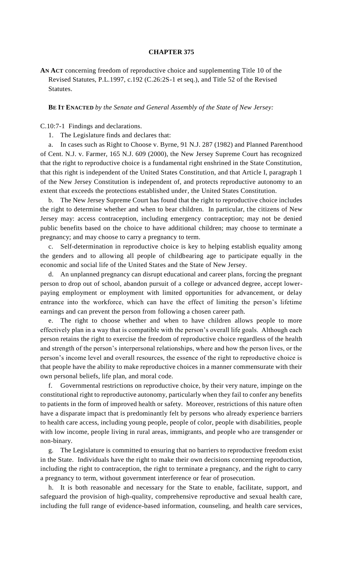## **CHAPTER 375**

**AN ACT** concerning freedom of reproductive choice and supplementing Title 10 of the Revised Statutes, P.L.1997, c.192 (C.26:2S-1 et seq.), and Title 52 of the Revised Statutes.

## **BE IT ENACTED** *by the Senate and General Assembly of the State of New Jersey:*

C.10:7-1 Findings and declarations.

1. The Legislature finds and declares that:

a. In cases such as Right to Choose v. Byrne, 91 N.J. 287 (1982) and Planned Parenthood of Cent. N.J. v. Farmer, 165 N.J. 609 (2000), the New Jersey Supreme Court has recognized that the right to reproductive choice is a fundamental right enshrined in the State Constitution, that this right is independent of the United States Constitution, and that Article I, paragraph 1 of the New Jersey Constitution is independent of, and protects reproductive autonomy to an extent that exceeds the protections established under, the United States Constitution.

b. The New Jersey Supreme Court has found that the right to reproductive choice includes the right to determine whether and when to bear children. In particular, the citizens of New Jersey may: access contraception, including emergency contraception; may not be denied public benefits based on the choice to have additional children; may choose to terminate a pregnancy; and may choose to carry a pregnancy to term.

c. Self-determination in reproductive choice is key to helping establish equality among the genders and to allowing all people of childbearing age to participate equally in the economic and social life of the United States and the State of New Jersey.

d. An unplanned pregnancy can disrupt educational and career plans, forcing the pregnant person to drop out of school, abandon pursuit of a college or advanced degree, accept lowerpaying employment or employment with limited opportunities for advancement, or delay entrance into the workforce, which can have the effect of limiting the person's lifetime earnings and can prevent the person from following a chosen career path.

e. The right to choose whether and when to have children allows people to more effectively plan in a way that is compatible with the person's overall life goals. Although each person retains the right to exercise the freedom of reproductive choice regardless of the health and strength of the person's interpersonal relationships, where and how the person lives, or the person's income level and overall resources, the essence of the right to reproductive choice is that people have the ability to make reproductive choices in a manner commensurate with their own personal beliefs, life plan, and moral code.

f. Governmental restrictions on reproductive choice, by their very nature, impinge on the constitutional right to reproductive autonomy, particularly when they fail to confer any benefits to patients in the form of improved health or safety. Moreover, restrictions of this nature often have a disparate impact that is predominantly felt by persons who already experience barriers to health care access, including young people, people of color, people with disabilities, people with low income, people living in rural areas, immigrants, and people who are transgender or non-binary.

g. The Legislature is committed to ensuring that no barriers to reproductive freedom exist in the State. Individuals have the right to make their own decisions concerning reproduction, including the right to contraception, the right to terminate a pregnancy, and the right to carry a pregnancy to term, without government interference or fear of prosecution.

h. It is both reasonable and necessary for the State to enable, facilitate, support, and safeguard the provision of high-quality, comprehensive reproductive and sexual health care, including the full range of evidence-based information, counseling, and health care services,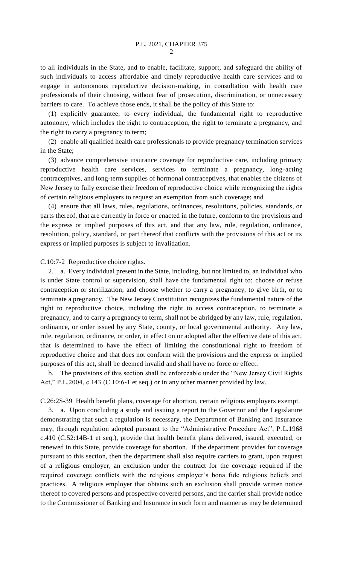to all individuals in the State, and to enable, facilitate, support, and safeguard the ability of such individuals to access affordable and timely reproductive health care services and to engage in autonomous reproductive decision-making, in consultation with health care professionals of their choosing, without fear of prosecution, discrimination, or unnecessary barriers to care. To achieve those ends, it shall be the policy of this State to:

(1) explicitly guarantee, to every individual, the fundamental right to reproductive autonomy, which includes the right to contraception, the right to terminate a pregnancy, and the right to carry a pregnancy to term;

(2) enable all qualified health care professionals to provide pregnancy termination services in the State;

(3) advance comprehensive insurance coverage for reproductive care, including primary reproductive health care services, services to terminate a pregnancy, long-acting contraceptives, and long-term supplies of hormonal contraceptives, that enables the citizens of New Jersey to fully exercise their freedom of reproductive choice while recognizing the rights of certain religious employers to request an exemption from such coverage; and

(4) ensure that all laws, rules, regulations, ordinances, resolutions, policies, standards, or parts thereof, that are currently in force or enacted in the future, conform to the provisions and the express or implied purposes of this act, and that any law, rule, regulation, ordinance, resolution, policy, standard, or part thereof that conflicts with the provisions of this act or its express or implied purposes is subject to invalidation.

C.10:7-2 Reproductive choice rights.

2. a. Every individual present in the State, including, but not limited to, an individual who is under State control or supervision, shall have the fundamental right to: choose or refuse contraception or sterilization; and choose whether to carry a pregnancy, to give birth, or to terminate a pregnancy. The New Jersey Constitution recognizes the fundamental nature of the right to reproductive choice, including the right to access contraception, to terminate a pregnancy, and to carry a pregnancy to term, shall not be abridged by any law, rule, regulation, ordinance, or order issued by any State, county, or local governmental authority. Any law, rule, regulation, ordinance, or order, in effect on or adopted after the effective date of this act, that is determined to have the effect of limiting the constitutional right to freedom of reproductive choice and that does not conform with the provisions and the express or implied purposes of this act, shall be deemed invalid and shall have no force or effect.

b. The provisions of this section shall be enforceable under the "New Jersey Civil Rights Act," P.L.2004, c.143 (C.10:6-1 et seq.) or in any other manner provided by law.

C.26:2S-39 Health benefit plans, coverage for abortion, certain religious employers exempt.

3. a. Upon concluding a study and issuing a report to the Governor and the Legislature demonstrating that such a regulation is necessary, the Department of Banking and Insurance may, through regulation adopted pursuant to the "Administrative Procedure Act", P.L.1968 c.410 (C.52:14B-1 et seq.), provide that health benefit plans delivered, issued, executed, or renewed in this State, provide coverage for abortion. If the department provides for coverage pursuant to this section, then the department shall also require carriers to grant, upon request of a religious employer, an exclusion under the contract for the coverage required if the required coverage conflicts with the religious employer's bona fide religious beliefs and practices. A religious employer that obtains such an exclusion shall provide written notice thereof to covered persons and prospective covered persons, and the carrier shall provide notice to the Commissioner of Banking and Insurance in such form and manner as may be determined